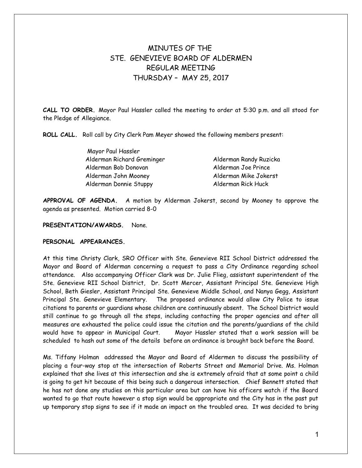# MINUTES OF THE STE. GENEVIEVE BOARD OF ALDERMEN REGULAR MEETING THURSDAY – MAY 25, 2017

**CALL TO ORDER.** Mayor Paul Hassler called the meeting to order at 5:30 p.m. and all stood for the Pledge of Allegiance.

**ROLL CALL.** Roll call by City Clerk Pam Meyer showed the following members present:

| Mayor Paul Hassler         |                        |
|----------------------------|------------------------|
| Alderman Richard Greminger | Alderman Randy Ruzicka |
| Alderman Bob Donovan       | Alderman Joe Prince    |
| Alderman John Mooney       | Alderman Mike Jokerst  |
| Alderman Donnie Stuppy     | Alderman Rick Huck     |

**APPROVAL OF AGENDA.** A motion by Alderman Jokerst, second by Mooney to approve the agenda as presented. Motion carried 8-0

# **PRESENTATION/AWARDS.** None.

# **PERSONAL APPEARANCES.**

At this time Christy Clark, SRO Officer with Ste. Genevieve RII School District addressed the Mayor and Board of Alderman concerning a request to pass a City Ordinance regarding school attendance. Also accompanying Officer Clark was Dr. Julie Flieg, assistant superintendent of the Ste. Genevieve RII School District, Dr. Scott Mercer, Assistant Principal Ste. Genevieve High School, Beth Giesler, Assistant Principal Ste. Genevieve Middle School, and Nanya Gegg, Assistant Principal Ste. Genevieve Elementary. The proposed ordinance would allow City Police to issue citations to parents or guardians whose children are continuously absent. The School District would still continue to go through all the steps, including contacting the proper agencies and after all measures are exhausted the police could issue the citation and the parents/guardians of the child would have to appear in Municipal Court. Mayor Hassler stated that a work session will be scheduled to hash out some of the details before an ordinance is brought back before the Board.

Ms. Tiffany Holman addressed the Mayor and Board of Aldermen to discuss the possibility of placing a four-way stop at the intersection of Roberts Street and Memorial Drive. Ms. Holman explained that she lives at this intersection and she is extremely afraid that at some point a child is going to get hit because of this being such a dangerous intersection. Chief Bennett stated that he has not done any studies on this particular area but can have his officers watch if the Board wanted to go that route however a stop sign would be appropriate and the City has in the past put up temporary stop signs to see if it made an impact on the troubled area. It was decided to bring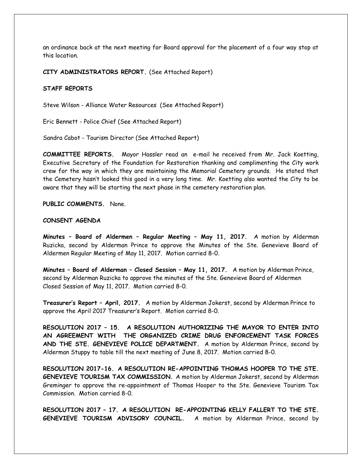an ordinance back at the next meeting for Board approval for the placement of a four way stop at this location.

**CITY ADMINISTRATORS REPORT.** (See Attached Report)

## **STAFF REPORTS**

Steve Wilson - Alliance Water Resources (See Attached Report)

Eric Bennett - Police Chief (See Attached Report)

Sandra Cabot - Tourism Director (See Attached Report)

**COMMITTEE REPORTS.** Mayor Hassler read an e-mail he received from Mr. Jack Koetting, Executive Secretary of the Foundation for Restoration thanking and complimenting the City work crew for the way in which they are maintaining the Memorial Cemetery grounds. He stated that the Cemetery hasn't looked this good in a very long time. Mr. Koetting also wanted the City to be aware that they will be starting the next phase in the cemetery restoration plan.

**PUBLIC COMMENTS.** None.

## **CONSENT AGENDA**

**Minutes – Board of Aldermen – Regular Meeting – May 11, 2017.** A motion by Alderman Ruzicka, second by Alderman Prince to approve the Minutes of the Ste. Genevieve Board of Aldermen Regular Meeting of May 11, 2017. Motion carried 8-0.

**Minutes – Board of Alderman – Closed Session – May 11, 2017.** A motion by Alderman Prince, second by Alderman Ruzicka to approve the minutes of the Ste. Genevieve Board of Aldermen Closed Session of May 11, 2017. Motion carried 8-0.

**Treasurer's Report – April, 2017.** A motion by Alderman Jokerst, second by Alderman Prince to approve the April 2017 Treasurer's Report. Motion carried 8-0.

**RESOLUTION 2017 – 15. A RESOLUTION AUTHORIZING THE MAYOR TO ENTER INTO AN AGREEMENT WITH THE ORGANIZED CRIME DRUG ENFORCEMENT TASK FORCES AND THE STE. GENEVIEVE POLICE DEPARTMENT.** A motion by Alderman Prince, second by Alderman Stuppy to table till the next meeting of June 8, 2017. Motion carried 8-0.

**RESOLUTION 2017-16. A RESOLUTION RE-APPOINTING THOMAS HOOPER TO THE STE. GENEVIEVE TOURISM TAX COMMISSION.** A motion by Alderman Jokerst, second by Alderman Greminger to approve the re-appointment of Thomas Hooper to the Ste. Genevieve Tourism Tax Commission. Motion carried 8-0.

**RESOLUTION 2017 – 17. A RESOLUTION RE-APPOINTING KELLY FALLERT TO THE STE. GENEVIEVE TOURISM ADVISORY COUNCIL.** A motion by Alderman Prince, second by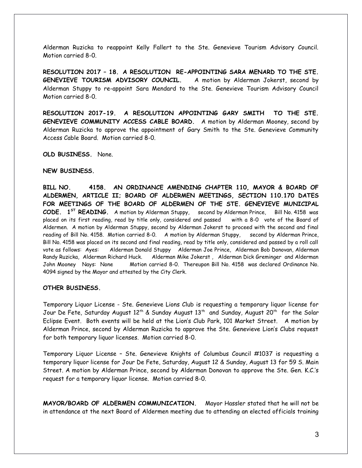Alderman Ruzicka to reappoint Kelly Fallert to the Ste. Genevieve Tourism Advisory Council. Motion carried 8-0.

**RESOLUTION 2017 – 18. A RESOLUTION RE-APPOINTING SARA MENARD TO THE STE. GENEVIEVE TOURISM ADVISORY COUNCIL.** A motion by Alderman Jokerst, second by Alderman Stuppy to re-appoint Sara Mendard to the Ste. Genevieve Tourism Advisory Council Motion carried 8-0.

**RESOLUTION 2017-19. A RESOLUTION APPOINTING GARY SMITH TO THE STE. GENEVIEVE COMMUNITY ACCESS CABLE BOARD.** A motion by Alderman Mooney, second by Alderman Ruzicka to approve the appointment of Gary Smith to the Ste. Genevieve Community Access Cable Board. Motion carried 8-0.

**OLD BUSINESS.** None.

#### **NEW BUSINESS.**

**BILL NO. 4158. AN ORDINANCE AMENDING CHAPTER 110, MAYOR & BOARD OF ALDERMEN, ARTICLE II; BOARD OF ALDERMEN MEETINGS, SECTION 110.170 DATES FOR MEETINGS OF THE BOARD OF ALDERMEN OF THE STE. GENEVIEVE MUNICIPAL CODE. 1ST READING.** A motion by Alderman Stuppy, second by Alderman Prince, Bill No. 4158 was placed on its first reading, read by title only, considered and passed with a 8-0 vote of the Board of Aldermen. A motion by Alderman Stuppy, second by Alderman Jokerst to proceed with the second and final reading of Bill No. 4158. Motion carried 8-0. A motion by Alderman Stuppy, second by Alderman Prince, Bill No. 4158 was placed on its second and final reading, read by title only, considered and passed by a roll call vote as follows: Ayes: Alderman Donald Stuppy Alderman Joe Prince, Alderman Bob Donovan, Alderman Randy Ruzicka, Alderman Richard Huck. Alderman Mike Jokerst , Alderman Dick Greminger and Alderman John Mooney Nays: None Motion carried 8-0. Thereupon Bill No. 4158 was declared Ordinance No. 4094 signed by the Mayor and attested by the City Clerk.

## **OTHER BUSINESS.**

Temporary Liquor License - Ste. Genevieve Lions Club is requesting a temporary liquor license for Jour De Fete, Saturday August 12<sup>th</sup> & Sunday August 13<sup>th</sup> and Sunday, August 20<sup>th</sup> for the Solar Eclipse Event. Both events will be held at the Lion's Club Park, 101 Market Street. A motion by Alderman Prince, second by Alderman Ruzicka to approve the Ste. Genevieve Lion's Clubs request for both temporary liquor licenses. Motion carried 8-0.

Temporary Liquor License – Ste. Genevieve Knights of Columbus Council #1037 is requesting a temporary liquor license for Jour De Fete, Saturday, August 12 & Sunday, August 13 for 59 S. Main Street. A motion by Alderman Prince, second by Alderman Donovan to approve the Ste. Gen. K.C.'s request for a temporary liquor license. Motion carried 8-0.

**MAYOR/BOARD OF ALDERMEN COMMUNICATION.** Mayor Hassler stated that he will not be in attendance at the next Board of Aldermen meeting due to attending an elected officials training